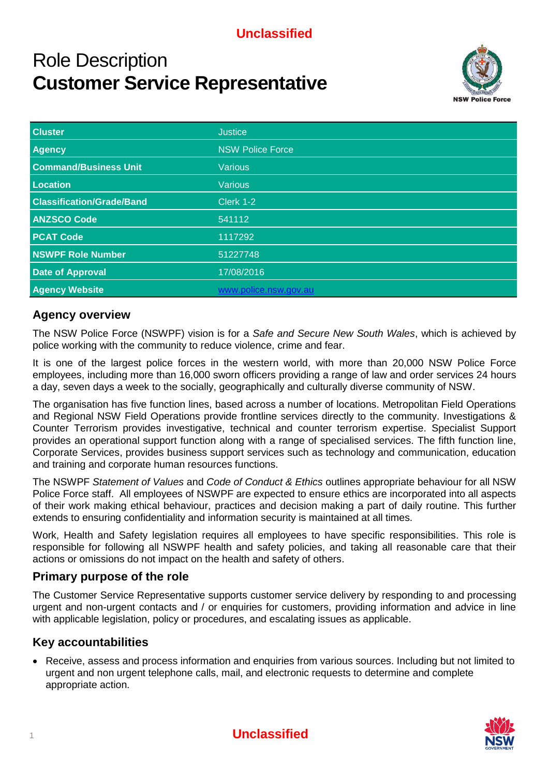## **Unclassified**

# Role Description **Customer Service Representative**



| <b>Cluster</b>                   | <b>Justice</b>          |
|----------------------------------|-------------------------|
| <b>Agency</b>                    | <b>NSW Police Force</b> |
| <b>Command/Business Unit</b>     | <b>Various</b>          |
| Location                         | <b>Various</b>          |
| <b>Classification/Grade/Band</b> | Clerk 1-2               |
| <b>ANZSCO Code</b>               | 541112                  |
| <b>PCAT Code</b>                 | 1117292                 |
| <b>NSWPF Role Number</b>         | 51227748                |
| <b>Date of Approval</b>          | 17/08/2016              |
| <b>Agency Website</b>            | www.police.nsw.gov.au   |

### **Agency overview**

The NSW Police Force (NSWPF) vision is for a *Safe and Secure New South Wales*, which is achieved by police working with the community to reduce violence, crime and fear.

It is one of the largest police forces in the western world, with more than 20,000 NSW Police Force employees, including more than 16,000 sworn officers providing a range of law and order services 24 hours a day, seven days a week to the socially, geographically and culturally diverse community of NSW.

The organisation has five function lines, based across a number of locations. Metropolitan Field Operations and Regional NSW Field Operations provide frontline services directly to the community. Investigations & Counter Terrorism provides investigative, technical and counter terrorism expertise. Specialist Support provides an operational support function along with a range of specialised services. The fifth function line, Corporate Services, provides business support services such as technology and communication, education and training and corporate human resources functions.

The NSWPF *Statement of Values* and *Code of Conduct & Ethics* outlines appropriate behaviour for all NSW Police Force staff. All employees of NSWPF are expected to ensure ethics are incorporated into all aspects of their work making ethical behaviour, practices and decision making a part of daily routine. This further extends to ensuring confidentiality and information security is maintained at all times.

Work, Health and Safety legislation requires all employees to have specific responsibilities. This role is responsible for following all NSWPF health and safety policies, and taking all reasonable care that their actions or omissions do not impact on the health and safety of others.

#### **Primary purpose of the role**

The Customer Service Representative supports customer service delivery by responding to and processing urgent and non-urgent contacts and / or enquiries for customers, providing information and advice in line with applicable legislation, policy or procedures, and escalating issues as applicable.

## **Key accountabilities**

• Receive, assess and process information and enquiries from various sources. Including but not limited to urgent and non urgent telephone calls, mail, and electronic requests to determine and complete appropriate action.

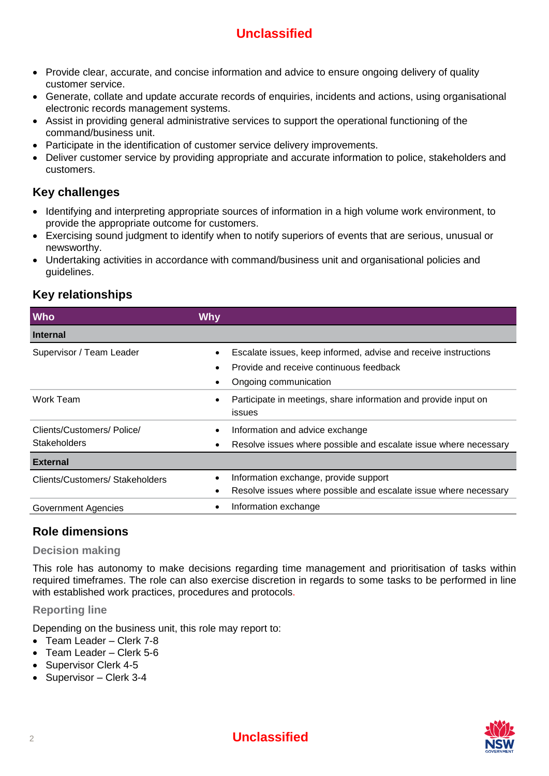# **Unclassified**

- Provide clear, accurate, and concise information and advice to ensure ongoing delivery of quality customer service.
- Generate, collate and update accurate records of enquiries, incidents and actions, using organisational electronic records management systems.
- Assist in providing general administrative services to support the operational functioning of the command/business unit.
- Participate in the identification of customer service delivery improvements.
- Deliver customer service by providing appropriate and accurate information to police, stakeholders and customers.

## **Key challenges**

- Identifying and interpreting appropriate sources of information in a high volume work environment, to provide the appropriate outcome for customers.
- Exercising sound judgment to identify when to notify superiors of events that are serious, unusual or newsworthy.
- Undertaking activities in accordance with command/business unit and organisational policies and guidelines.

## **Key relationships**

| <b>Who</b>                                        | <b>Why</b>                                                                                                                          |
|---------------------------------------------------|-------------------------------------------------------------------------------------------------------------------------------------|
| <b>Internal</b>                                   |                                                                                                                                     |
| Supervisor / Team Leader                          | Escalate issues, keep informed, advise and receive instructions<br>Provide and receive continuous feedback<br>Ongoing communication |
| Work Team                                         | Participate in meetings, share information and provide input on<br>issues                                                           |
| Clients/Customers/ Police/<br><b>Stakeholders</b> | Information and advice exchange<br>Resolve issues where possible and escalate issue where necessary                                 |
| <b>External</b>                                   |                                                                                                                                     |
| Clients/Customers/ Stakeholders                   | Information exchange, provide support<br>Resolve issues where possible and escalate issue where necessary                           |
| Government Agencies                               | Information exchange<br>٠                                                                                                           |

### **Role dimensions**

#### **Decision making**

This role has autonomy to make decisions regarding time management and prioritisation of tasks within required timeframes. The role can also exercise discretion in regards to some tasks to be performed in line with established work practices, procedures and protocols.

#### **Reporting line**

Depending on the business unit, this role may report to:

- Team Leader Clerk 7-8
- Team Leader Clerk 5-6
- Supervisor Clerk 4-5
- Supervisor Clerk 3-4

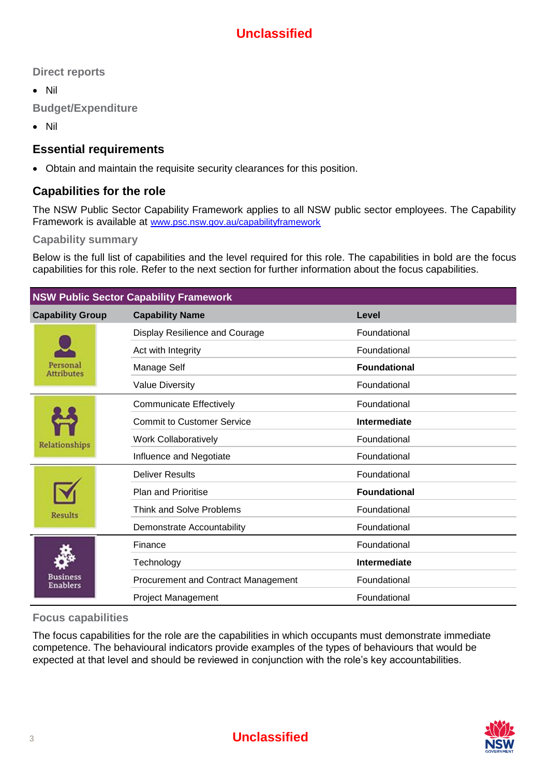**Direct reports**

• Nil

**Budget/Expenditure**

• Nil

#### **Essential requirements**

• Obtain and maintain the requisite security clearances for this position.

#### **Capabilities for the role**

The NSW Public Sector Capability Framework applies to all NSW public sector employees. The Capability Framework is available at [www.psc.nsw.gov.au/capabilityframework](file://///DNS-323/Volume_1/Clients/2014/Folk/PSC/v16_12March2014/www.psc.nsw.gov.au/capabilityframework)

#### **Capability summary**

Below is the full list of capabilities and the level required for this role. The capabilities in bold are the focus capabilities for this role. Refer to the next section for further information about the focus capabilities.

| <b>NSW Public Sector Capability Framework</b> |                                       |                     |  |  |
|-----------------------------------------------|---------------------------------------|---------------------|--|--|
| <b>Capability Group</b>                       | <b>Capability Name</b>                | Level               |  |  |
| Personal<br><b>Attributes</b>                 | <b>Display Resilience and Courage</b> | Foundational        |  |  |
|                                               | Act with Integrity                    | Foundational        |  |  |
|                                               | Manage Self                           | <b>Foundational</b> |  |  |
|                                               | <b>Value Diversity</b>                | Foundational        |  |  |
| Relationships                                 | <b>Communicate Effectively</b>        | Foundational        |  |  |
|                                               | <b>Commit to Customer Service</b>     | Intermediate        |  |  |
|                                               | <b>Work Collaboratively</b>           | Foundational        |  |  |
|                                               | Influence and Negotiate               | Foundational        |  |  |
| <b>Results</b>                                | <b>Deliver Results</b>                | Foundational        |  |  |
|                                               | <b>Plan and Prioritise</b>            | <b>Foundational</b> |  |  |
|                                               | <b>Think and Solve Problems</b>       | Foundational        |  |  |
|                                               | Demonstrate Accountability            | Foundational        |  |  |
| Business<br><b>Enablers</b>                   | Finance                               | Foundational        |  |  |
|                                               | Technology                            | <b>Intermediate</b> |  |  |
|                                               | Procurement and Contract Management   | Foundational        |  |  |
|                                               | Project Management                    | Foundational        |  |  |

#### **Focus capabilities**

The focus capabilities for the role are the capabilities in which occupants must demonstrate immediate competence. The behavioural indicators provide examples of the types of behaviours that would be expected at that level and should be reviewed in conjunction with the role's key accountabilities.